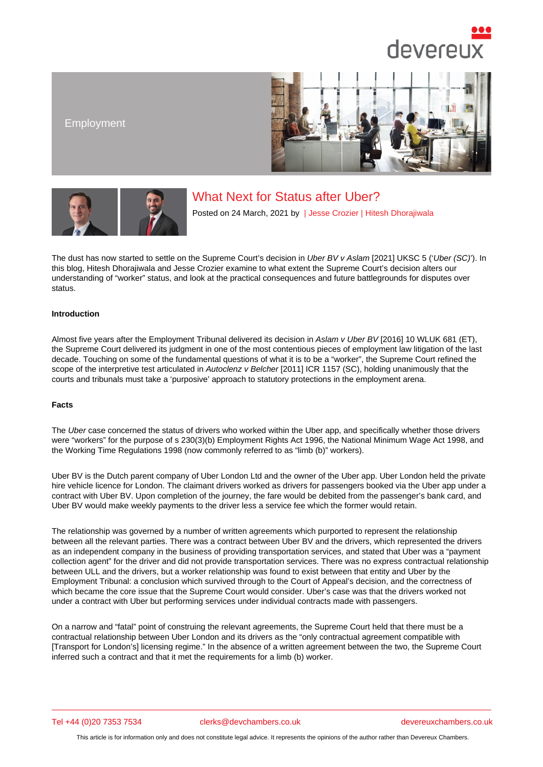# Employment

# What Next for Status after Uber?

Posted on 24 March, 2021 by | Jesse Crozier | Hitesh Dhorajiwala

The dust has now started to settle on the Supreme Court's decision in [Uber BV v Asla](/barristers/profile/jesse-crozier)[m \[2021\] UKSC 5 \('U](/barristers/profile/hitesh-dhorajiwala)ber (SC)'). In this blog, Hitesh Dhorajiwala and Jesse Crozier examine to what extent the Supreme Court's decision alters our understanding of "worker" status, and look at the practical consequences and future battlegrounds for disputes over status.

## Introducti[on](https://www.devereuxchambers.co.uk/barristers/profile/hitesh-dhorajiwala)

Almost five years after the Employment Tribunal delivered its decision in Aslam v Uber BV [2016] 10 WLUK 681 (ET), the Supreme Court delivered its judgment in one of the most contentious pieces of employment law litigation of the last decade. Touching on some of the fundamental questions of what it is to be a "worker", the Supreme Court refined the scope of the interpretive test articulated in Autoclenz v Belcher [2011] ICR 1157 (SC), holding unanimously that the courts and tribunals must take a 'purposive' approach to statutory protections in the employment arena.

### Facts

The Uber case concerned the status of drivers who worked within the Uber app, and specifically whether those drivers were "workers" for the purpose of s 230(3)(b) Employment Rights Act 1996, the National Minimum Wage Act 1998, and the Working Time Regulations 1998 (now commonly referred to as "limb (b)" workers).

Uber BV is the Dutch parent company of Uber London Ltd and the owner of the Uber app. Uber London held the private hire vehicle licence for London. The claimant drivers worked as drivers for passengers booked via the Uber app under a contract with Uber BV. Upon completion of the journey, the fare would be debited from the passenger's bank card, and Uber BV would make weekly payments to the driver less a service fee which the former would retain.

The relationship was governed by a number of written agreements which purported to represent the relationship between all the relevant parties. There was a contract between Uber BV and the drivers, which represented the drivers as an independent company in the business of providing transportation services, and stated that Uber was a "payment collection agent" for the driver and did not provide transportation services. There was no express contractual relationship between ULL and the drivers, but a worker relationship was found to exist between that entity and Uber by the Employment Tribunal: a conclusion which survived through to the Court of Appeal's decision, and the correctness of which became the core issue that the Supreme Court would consider. Uber's case was that the drivers worked not under a contract with Uber but performing services under individual contracts made with passengers.

On a narrow and "fatal" point of construing the relevant agreements, the Supreme Court held that there must be a contractual relationship between Uber London and its drivers as the "only contractual agreement compatible with [Transport for London's] licensing regime." In the absence of a written agreement between the two, the Supreme Court inferred such a contract and that it met the requirements for a limb (b) worker.

Tel +44 (0)20 7353 7534 clerks@devchambers.co.uk devereuxchambers.co.uk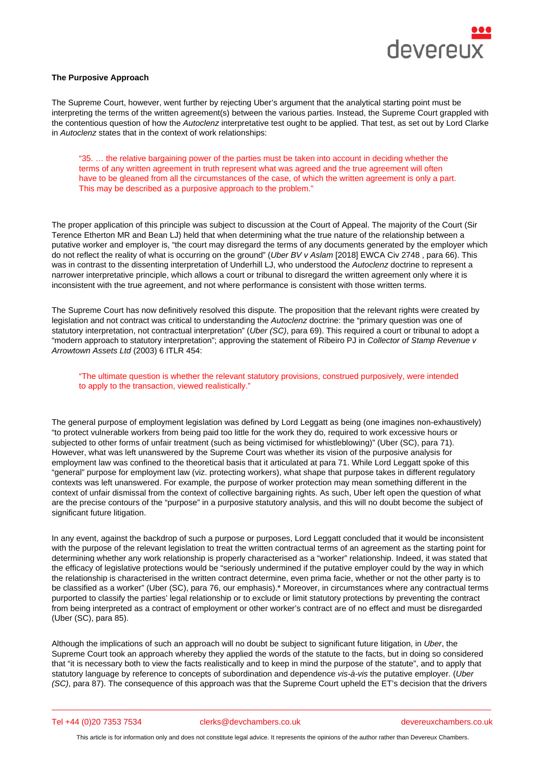The Supreme Court, however, went further by rejecting Uber's argument that the analytical starting point must be interpreting the terms of the written agreement(s) between the various parties. Instead, the Supreme Court grappled with the contentious question of how the Autoclenz interpretative test ought to be applied. That test, as set out by Lord Clarke in Autoclenz states that in the context of work relationships:

"35. … the relative bargaining power of the parties must be taken into account in deciding whether the terms of any written agreement in truth represent what was agreed and the true agreement will often have to be gleaned from all the circumstances of the case, of which the written agreement is only a part. This may be described as a purposive approach to the problem."

The proper application of this principle was subject to discussion at the Court of Appeal. The majority of the Court (Sir Terence Etherton MR and Bean LJ) held that when determining what the true nature of the relationship between a putative worker and employer is, "the court may disregard the terms of any documents generated by the employer which do not reflect the reality of what is occurring on the ground" (Uber BV v Aslam [2018] EWCA Civ 2748 , para 66). This was in contrast to the dissenting interpretation of Underhill LJ, who understood the Autoclenz doctrine to represent a narrower interpretative principle, which allows a court or tribunal to disregard the written agreement only where it is inconsistent with the true agreement, and not where performance is consistent with those written terms.

The Supreme Court has now definitively resolved this dispute. The proposition that the relevant rights were created by legislation and not contract was critical to understanding the Autoclenz doctrine: the "primary question was one of statutory interpretation, not contractual interpretation" (Uber (SC), para 69). This required a court or tribunal to adopt a "modern approach to statutory interpretation"; approving the statement of Ribeiro PJ in Collector of Stamp Revenue v Arrowtown Assets Ltd (2003) 6 ITLR 454:

"The ultimate question is whether the relevant statutory provisions, construed purposively, were intended to apply to the transaction, viewed realistically."

The general purpose of employment legislation was defined by Lord Leggatt as being (one imagines non-exhaustively) "to protect vulnerable workers from being paid too little for the work they do, required to work excessive hours or subjected to other forms of unfair treatment (such as being victimised for whistleblowing)" (Uber (SC), para 71). However, what was left unanswered by the Supreme Court was whether its vision of the purposive analysis for employment law was confined to the theoretical basis that it articulated at para 71. While Lord Leggatt spoke of this "general" purpose for employment law (viz. protecting workers), what shape that purpose takes in different regulatory contexts was left unanswered. For example, the purpose of worker protection may mean something different in the context of unfair dismissal from the context of collective bargaining rights. As such, Uber left open the question of what are the precise contours of the "purpose" in a purposive statutory analysis, and this will no doubt become the subject of significant future litigation.

In any event, against the backdrop of such a purpose or purposes, Lord Leggatt concluded that it would be inconsistent with the purpose of the relevant legislation to treat the written contractual terms of an agreement as the starting point for determining whether any work relationship is properly characterised as a "worker" relationship. Indeed, it was stated that the efficacy of legislative protections would be "seriously undermined if the putative employer could by the way in which the relationship is characterised in the written contract determine, even prima facie, whether or not the other party is to be classified as a worker" (Uber (SC), para 76, our emphasis).\* Moreover, in circumstances where any contractual terms purported to classify the parties' legal relationship or to exclude or limit statutory protections by preventing the contract from being interpreted as a contract of employment or other worker's contract are of no effect and must be disregarded (Uber (SC), para 85).

Although the implications of such an approach will no doubt be subject to significant future litigation, in Uber, the Supreme Court took an approach whereby they applied the words of the statute to the facts, but in doing so considered that "it is necessary both to view the facts realistically and to keep in mind the purpose of the statute", and to apply that statutory language by reference to concepts of subordination and dependence vis-à-vis the putative employer. (Uber (SC), para 87). The consequence of this approach was that the Supreme Court upheld the ET's decision that the drivers

### Tel +44 (0)20 7353 7534 clerks@devchambers.co.uk devereuxchambers.co.uk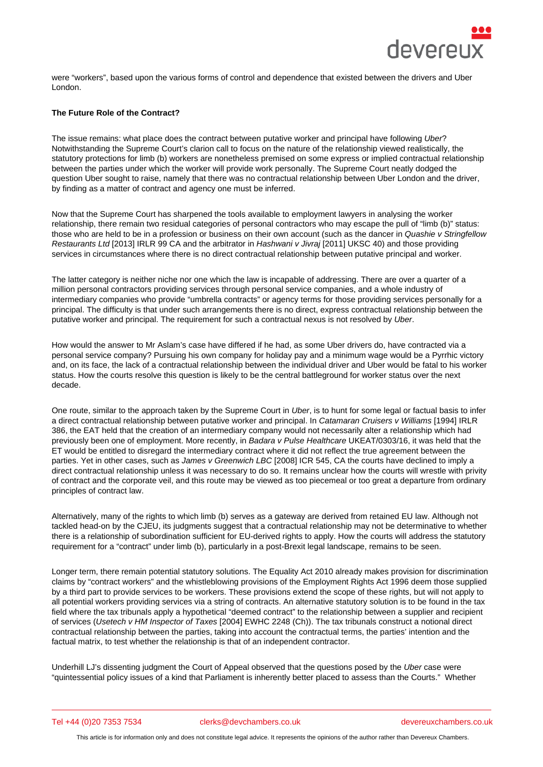were "workers", based upon the various forms of control and dependence that existed between the drivers and Uber London.

The Future Role of the Contract?

The issue remains: what place does the contract between putative worker and principal have following Uber? Notwithstanding the Supreme Court's clarion call to focus on the nature of the relationship viewed realistically, the statutory protections for limb (b) workers are nonetheless premised on some express or implied contractual relationship between the parties under which the worker will provide work personally. The Supreme Court neatly dodged the question Uber sought to raise, namely that there was no contractual relationship between Uber London and the driver, by finding as a matter of contract and agency one must be inferred.

Now that the Supreme Court has sharpened the tools available to employment lawyers in analysing the worker relationship, there remain two residual categories of personal contractors who may escape the pull of "limb (b)" status: those who are held to be in a profession or business on their own account (such as the dancer in Quashie v Stringfellow Restaurants Ltd [2013] IRLR 99 CA and the arbitrator in Hashwani v Jivraj [2011] UKSC 40) and those providing services in circumstances where there is no direct contractual relationship between putative principal and worker.

The latter category is neither niche nor one which the law is incapable of addressing. There are over a quarter of a million personal contractors providing services through personal service companies, and a whole industry of intermediary companies who provide "umbrella contracts" or agency terms for those providing services personally for a principal. The difficulty is that under such arrangements there is no direct, express contractual relationship between the putative worker and principal. The requirement for such a contractual nexus is not resolved by Uber.

How would the answer to Mr Aslam's case have differed if he had, as some Uber drivers do, have contracted via a personal service company? Pursuing his own company for holiday pay and a minimum wage would be a Pyrrhic victory and, on its face, the lack of a contractual relationship between the individual driver and Uber would be fatal to his worker status. How the courts resolve this question is likely to be the central battleground for worker status over the next decade.

One route, similar to the approach taken by the Supreme Court in Uber, is to hunt for some legal or factual basis to infer a direct contractual relationship between putative worker and principal. In Catamaran Cruisers v Williams [1994] IRLR 386, the EAT held that the creation of an intermediary company would not necessarily alter a relationship which had previously been one of employment. More recently, in Badara v Pulse Healthcare UKEAT/0303/16, it was held that the ET would be entitled to disregard the intermediary contract where it did not reflect the true agreement between the parties. Yet in other cases, such as James v Greenwich LBC [2008] ICR 545, CA the courts have declined to imply a direct contractual relationship unless it was necessary to do so. It remains unclear how the courts will wrestle with privity of contract and the corporate veil, and this route may be viewed as too piecemeal or too great a departure from ordinary principles of contract law.

Alternatively, many of the rights to which limb (b) serves as a gateway are derived from retained EU law. Although not tackled head-on by the CJEU, its judgments suggest that a contractual relationship may not be determinative to whether there is a relationship of subordination sufficient for EU-derived rights to apply. How the courts will address the statutory requirement for a "contract" under limb (b), particularly in a post-Brexit legal landscape, remains to be seen.

Longer term, there remain potential statutory solutions. The Equality Act 2010 already makes provision for discrimination claims by "contract workers" and the whistleblowing provisions of the Employment Rights Act 1996 deem those supplied by a third part to provide services to be workers. These provisions extend the scope of these rights, but will not apply to all potential workers providing services via a string of contracts. An alternative statutory solution is to be found in the tax field where the tax tribunals apply a hypothetical "deemed contract" to the relationship between a supplier and recipient of services (Usetech v HM Inspector of Taxes [2004] EWHC 2248 (Ch)). The tax tribunals construct a notional direct contractual relationship between the parties, taking into account the contractual terms, the parties' intention and the factual matrix, to test whether the relationship is that of an independent contractor.

Underhill LJ's dissenting judgment the Court of Appeal observed that the questions posed by the Uber case were "quintessential policy issues of a kind that Parliament is inherently better placed to assess than the Courts." Whether

Tel +44 (0)20 7353 7534 clerks@devchambers.co.uk devereuxchambers.co.uk